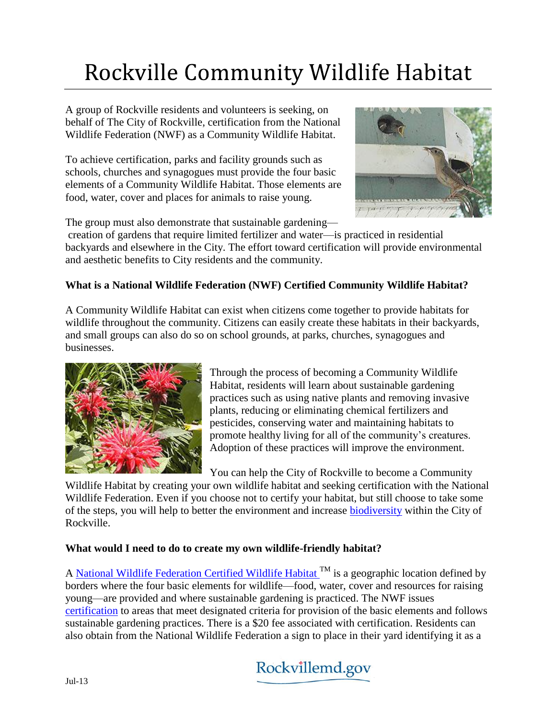# **Rockville Community Wildlife Habitat**

A group of Rockville residents and volunteers is seeking, on behalf of The City of Rockville, certification from the National Wildlife Federation (NWF) as a Community Wildlife Habitat.

To achieve certification, parks and facility grounds such as schools, churches and synagogues must provide the four basic elements of a Community Wildlife Habitat. Those elements are food, water, cover and places for animals to raise young.



The group must also demonstrate that sustainable gardening—

creation of gardens that require limited fertilizer and water—is practiced in residential backyards and elsewhere in the City. The effort toward certification will provide environmental and aesthetic benefits to City residents and the community.

# **What is a National Wildlife Federation (NWF) Certified Community Wildlife Habitat?**

A Community Wildlife Habitat can exist when citizens come together to provide habitats for wildlife throughout the community. Citizens can easily create these habitats in their backyards, and small groups can also do so on school grounds, at parks, churches, synagogues and businesses.



Through the process of becoming a Community Wildlife Habitat, residents will learn about sustainable gardening practices such as using native plants and removing invasive plants, reducing or eliminating chemical fertilizers and pesticides, conserving water and maintaining habitats to promote healthy living for all of the community's creatures. Adoption of these practices will improve the environment.

You can help the City of Rockville to become a Community

Wildlife Habitat by creating your own wildlife habitat and seeking certification with the National Wildlife Federation. Even if you choose not to certify your habitat, but still choose to take some of the steps, you will help to better the environment and increase [biodiversity](http://md-rockville.civicplus.com/DocumentCenter/View/5361) within the City of Rockville.

## **What would I need to do to create my own wildlife-friendly habitat?**

A [National Wildlife Federation Certified Wildlife Habitat](http://www.nwf.org/gardenforwildlife/create.cfm)<sup>TM</sup> is a geographic location defined by borders where the four basic elements for wildlife—food, water, cover and resources for raising young—are provided and where sustainable gardening is practiced. The NWF issues [certification](http://www.nwf.org/gardenforwildlife/certify.cfm) to areas that meet designated criteria for provision of the basic elements and follows sustainable gardening practices. There is a \$20 fee associated with certification. Residents can also obtain from the National Wildlife Federation a sign to place in their yard identifying it as a

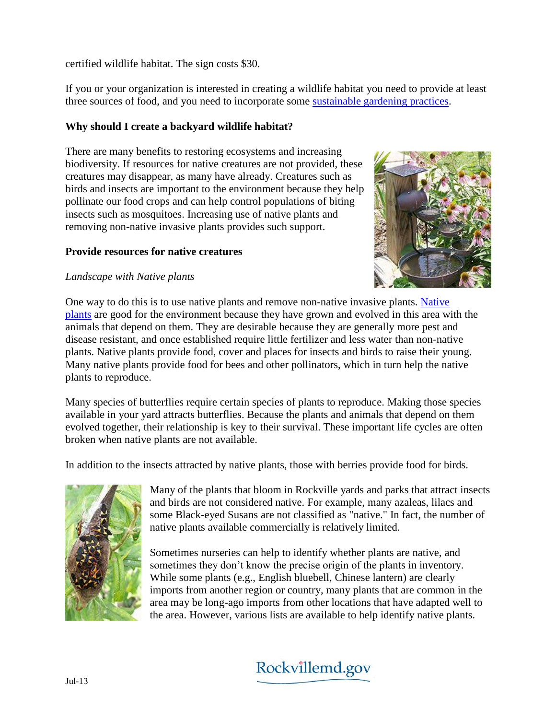certified wildlife habitat. The sign costs \$30.

If you or your organization is interested in creating a wildlife habitat you need to provide at least three sources of food, and you need to incorporate some [sustainable gardening practices.](http://www.nwf.org/gardenforwildlife/sustainablegardening.cfm)

#### **Why should I create a backyard wildlife habitat?**

There are many benefits to restoring ecosystems and increasing biodiversity. If resources for native creatures are not provided, these creatures may disappear, as many have already. Creatures such as birds and insects are important to the environment because they help pollinate our food crops and can help control populations of biting insects such as mosquitoes. Increasing use of native plants and removing non-native invasive plants provides such support.

#### **Provide resources for native creatures**

## *Landscape with Native plants*



One way to do this is to use native plants and remove non-native invasive plants. [Native](http://www.rockvillemd.gov/index.aspx?nid=831)  [plants](http://www.rockvillemd.gov/index.aspx?nid=831) are good for the environment because they have grown and evolved in this area with the animals that depend on them. They are desirable because they are generally more pest and disease resistant, and once established require little fertilizer and less water than non-native plants. Native plants provide food, cover and places for insects and birds to raise their young. Many native plants provide food for bees and other pollinators, which in turn help the native plants to reproduce.

Many species of butterflies require certain species of plants to reproduce. Making those species available in your yard attracts butterflies. Because the plants and animals that depend on them evolved together, their relationship is key to their survival. These important life cycles are often broken when native plants are not available.

In addition to the insects attracted by native plants, those with berries provide food for birds.



Many of the plants that bloom in Rockville yards and parks that attract insects and birds are not considered native. For example, many azaleas, lilacs and some Black-eyed Susans are not classified as "native." In fact, the number of native plants available commercially is relatively limited.

Sometimes nurseries can help to identify whether plants are native, and sometimes they don't know the precise origin of the plants in inventory. While some plants (e.g., English bluebell, Chinese lantern) are clearly imports from another region or country, many plants that are common in the area may be long-ago imports from other locations that have adapted well to the area. However, various lists are available to help identify native plants.

# Rockvillemd.gov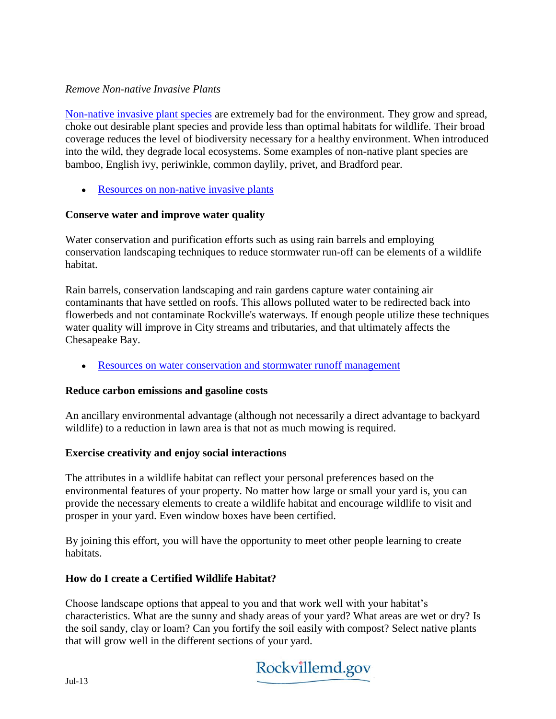#### *Remove Non-native Invasive Plants*

[Non-native invasive plant species](http://www.rockvillemd.gov/index.aspx?NID=841) are extremely bad for the environment. They grow and spread, choke out desirable plant species and provide less than optimal habitats for wildlife. Their broad coverage reduces the level of biodiversity necessary for a healthy environment. When introduced into the wild, they degrade local ecosystems. Some examples of non-native plant species are bamboo, English ivy, periwinkle, common daylily, privet, and Bradford pear.

• [Resources on non-native invasive plants](http://md-rockville.civicplus.com/DocumentCenter/View/5362)

#### **Conserve water and improve water quality**

Water conservation and purification efforts such as using rain barrels and employing conservation landscaping techniques to reduce stormwater run-off can be elements of a wildlife habitat.

Rain barrels, conservation landscaping and rain gardens capture water containing air contaminants that have settled on roofs. This allows polluted water to be redirected back into flowerbeds and not contaminate Rockville's waterways. If enough people utilize these techniques water quality will improve in City streams and tributaries, and that ultimately affects the Chesapeake Bay.

[Resources on water conservation and stormwater runoff management](http://md-rockville.civicplus.com/DocumentCenter/View/5362)

#### **Reduce carbon emissions and gasoline costs**

An ancillary environmental advantage (although not necessarily a direct advantage to backyard wildlife) to a reduction in lawn area is that not as much mowing is required.

#### **Exercise creativity and enjoy social interactions**

The attributes in a wildlife habitat can reflect your personal preferences based on the environmental features of your property. No matter how large or small your yard is, you can provide the necessary elements to create a wildlife habitat and encourage wildlife to visit and prosper in your yard. Even window boxes have been certified.

By joining this effort, you will have the opportunity to meet other people learning to create habitats.

#### **How do I create a Certified Wildlife Habitat?**

Choose landscape options that appeal to you and that work well with your habitat's characteristics. What are the sunny and shady areas of your yard? What areas are wet or dry? Is the soil sandy, clay or loam? Can you fortify the soil easily with compost? Select native plants that will grow well in the different sections of your yard.